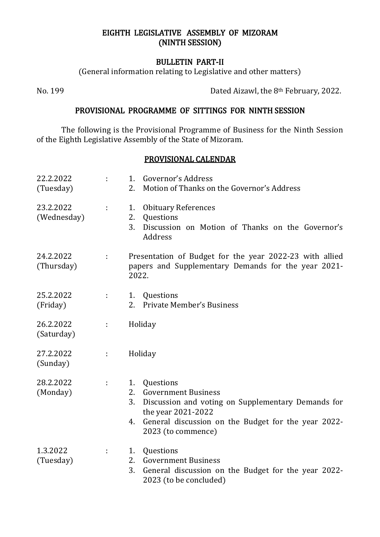### EIGHTH LEGISLATIVE ASSEMBLY OF MIZORAM (NINTH SESSION)

#### BULLETIN PART-II

(General information relating to Legislative and other matters)

No. 199 Dated Aizawl, the 8th February, 2022.

#### PROVISIONAL PROGRAMME OF SITTINGS FOR NINTH SESSION

The following is the Provisional Programme of Business for the Ninth Session of the Eighth Legislative Assembly of the State of Mizoram.

## PROVISIONAL CALENDAR

| 22.2.2022<br>(Tuesday)   | ÷. | Governor's Address<br>1.<br>Motion of Thanks on the Governor's Address<br>2.                                                                                                                                             |  |
|--------------------------|----|--------------------------------------------------------------------------------------------------------------------------------------------------------------------------------------------------------------------------|--|
| 23.2.2022<br>(Wednesday) | ÷. | <b>Obituary References</b><br>1.<br>2.<br>Questions<br>3.<br>Discussion on Motion of Thanks on the Governor's<br>Address                                                                                                 |  |
| 24.2.2022<br>(Thursday)  | ÷. | Presentation of Budget for the year 2022-23 with allied<br>papers and Supplementary Demands for the year 2021-<br>2022.                                                                                                  |  |
| 25.2.2022<br>(Friday)    | ÷  | Questions<br>1.<br><b>Private Member's Business</b><br>2.                                                                                                                                                                |  |
| 26.2.2022<br>(Saturday)  | ÷  | Holiday                                                                                                                                                                                                                  |  |
| 27.2.2022<br>(Sunday)    | ÷. | Holiday                                                                                                                                                                                                                  |  |
| 28.2.2022<br>(Monday)    | ÷. | Questions<br>1.<br><b>Government Business</b><br>2.<br>Discussion and voting on Supplementary Demands for<br>3.<br>the year 2021-2022<br>General discussion on the Budget for the year 2022-<br>4.<br>2023 (to commence) |  |
| 1.3.2022<br>(Tuesday)    | ÷. | Questions<br>1.<br><b>Government Business</b><br>2.<br>3.<br>General discussion on the Budget for the year 2022-<br>2023 (to be concluded)                                                                               |  |